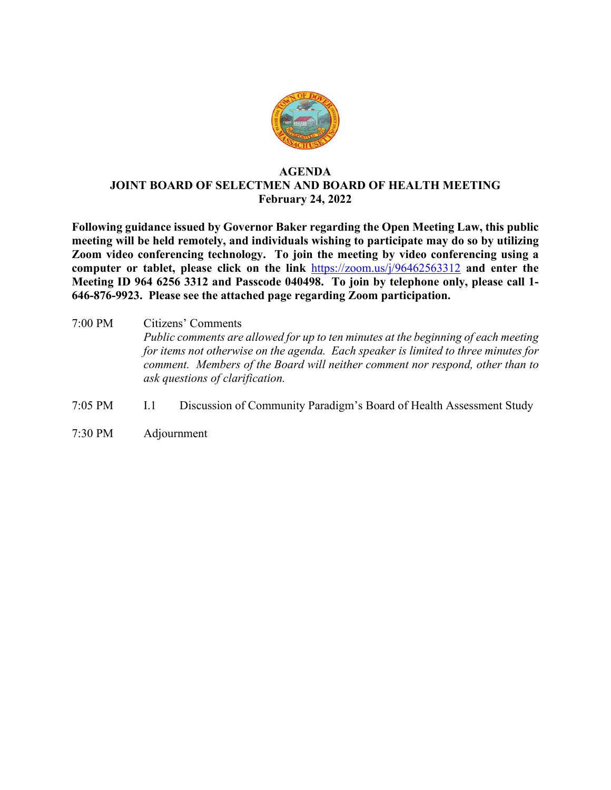

## **AGENDA JOINT BOARD OF SELECTMEN AND BOARD OF HEALTH MEETING February 24, 2022**

**Following guidance issued by Governor Baker regarding the Open Meeting Law, this public meeting will be held remotely, and individuals wishing to participate may do so by utilizing Zoom video conferencing technology. To join the meeting by video conferencing using a computer or tablet, please click on the link** <https://zoom.us/j/96462563312> **and enter the Meeting ID 964 6256 3312 and Passcode 040498. To join by telephone only, please call 1- 646-876-9923. Please see the attached page regarding Zoom participation.**

- 7:00 PM Citizens' Comments *Public comments are allowed for up to ten minutes at the beginning of each meeting for items not otherwise on the agenda. Each speaker is limited to three minutes for comment. Members of the Board will neither comment nor respond, other than to ask questions of clarification.*
- 7:05 PM I.1 Discussion of Community Paradigm's Board of Health Assessment Study
- 7:30 PM Adjournment